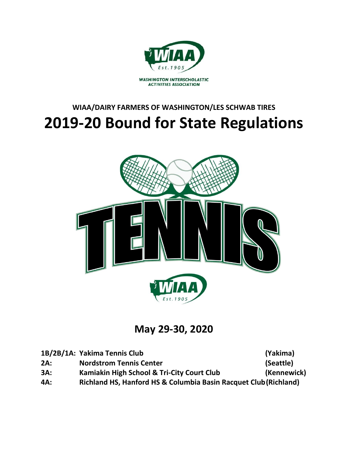

# **WIAA/DAIRY FARMERS OF WASHINGTON/LES SCHWAB TIRES 2019-20 Bound for State Regulations**



**May 29-30, 2020**

|     | 1B/2B/1A: Yakima Tennis Club                                     | (Yakima)    |
|-----|------------------------------------------------------------------|-------------|
| 2A: | <b>Nordstrom Tennis Center</b>                                   | (Seattle)   |
| 3A: | Kamiakin High School & Tri-City Court Club                       | (Kennewick) |
| 4A: | Richland HS, Hanford HS & Columbia Basin Racquet Club (Richland) |             |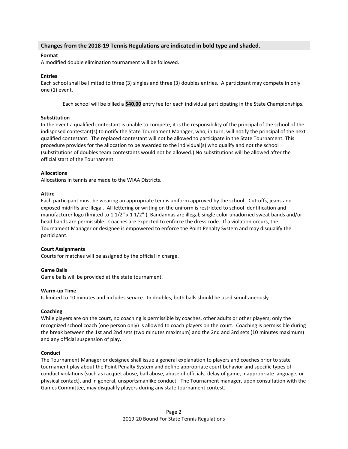# **Changes from the 2018-19 Tennis Regulations are indicated in bold type and shaded.**

# **Format**

A modified double elimination tournament will be followed.

## **Entries**

Each school shall be limited to three (3) singles and three (3) doubles entries. A participant may compete in only one (1) event.

Each school will be billed a **\$40.00** entry fee for each individual participating in the State Championships.

## **Substitution**

In the event a qualified contestant is unable to compete, it is the responsibility of the principal of the school of the indisposed contestant(s) to notify the State Tournament Manager, who, in turn, will notify the principal of the next qualified contestant. The replaced contestant will not be allowed to participate in the State Tournament. This procedure provides for the allocation to be awarded to the individual(s) who qualify and not the school (substitutions of doubles team contestants would not be allowed.) No substitutions will be allowed after the official start of the Tournament.

## **Allocations**

Allocations in tennis are made to the WIAA Districts.

## **Attire**

Each participant must be wearing an appropriate tennis uniform approved by the school. Cut-offs, jeans and exposed midriffs are illegal. All lettering or writing on the uniform is restricted to school identification and manufacturer logo (limited to 1 1/2" x 1 1/2".) Bandannas are illegal; single color unadorned sweat bands and/or head bands are permissible. Coaches are expected to enforce the dress code. If a violation occurs, the Tournament Manager or designee is empowered to enforce the Point Penalty System and may disqualify the participant.

## **Court Assignments**

Courts for matches will be assigned by the official in charge.

## **Game Balls**

Game balls will be provided at the state tournament.

## **Warm-up Time**

Is limited to 10 minutes and includes service. In doubles, both balls should be used simultaneously.

# **Coaching**

While players are on the court, no coaching is permissible by coaches, other adults or other players; only the recognized school coach (one person only) is allowed to coach players on the court. Coaching is permissible during the break between the 1st and 2nd sets (two minutes maximum) and the 2nd and 3rd sets (10 minutes maximum) and any official suspension of play.

## **Conduct**

The Tournament Manager or designee shall issue a general explanation to players and coaches prior to state tournament play about the Point Penalty System and define appropriate court behavior and specific types of conduct violations (such as racquet abuse, ball abuse, abuse of officials, delay of game, inappropriate language, or physical contact), and in general, unsportsmanlike conduct. The Tournament manager, upon consultation with the Games Committee, may disqualify players during any state tournament contest.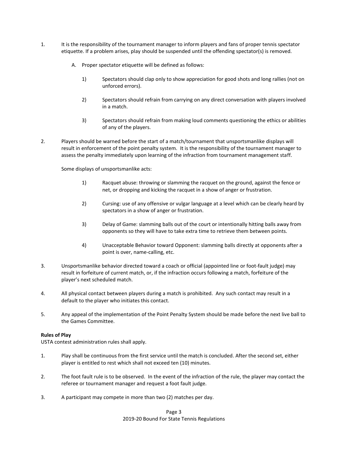- 1. It is the responsibility of the tournament manager to inform players and fans of proper tennis spectator etiquette. If a problem arises, play should be suspended until the offending spectator(s) is removed.
	- A. Proper spectator etiquette will be defined as follows:
		- 1) Spectators should clap only to show appreciation for good shots and long rallies (not on unforced errors).
		- 2) Spectators should refrain from carrying on any direct conversation with players involved in a match.
		- 3) Spectators should refrain from making loud comments questioning the ethics or abilities of any of the players.
- 2. Players should be warned before the start of a match/tournament that unsportsmanlike displays will result in enforcement of the point penalty system. It is the responsibility of the tournament manager to assess the penalty immediately upon learning of the infraction from tournament management staff.

Some displays of unsportsmanlike acts:

- 1) Racquet abuse: throwing or slamming the racquet on the ground, against the fence or net, or dropping and kicking the racquet in a show of anger or frustration.
- 2) Cursing: use of any offensive or vulgar language at a level which can be clearly heard by spectators in a show of anger or frustration.
- 3) Delay of Game: slamming balls out of the court or intentionally hitting balls away from opponents so they will have to take extra time to retrieve them between points.
- 4) Unacceptable Behavior toward Opponent: slamming balls directly at opponents after a point is over, name-calling, etc.
- 3. Unsportsmanlike behavior directed toward a coach or official (appointed line or foot-fault judge) may result in forfeiture of current match, or, if the infraction occurs following a match, forfeiture of the player's next scheduled match.
- 4. All physical contact between players during a match is prohibited. Any such contact may result in a default to the player who initiates this contact.
- 5. Any appeal of the implementation of the Point Penalty System should be made before the next live ball to the Games Committee.

# **Rules of Play**

USTA contest administration rules shall apply.

- 1. Play shall be continuous from the first service until the match is concluded. After the second set, either player is entitled to rest which shall not exceed ten (10) minutes.
- 2. The foot fault rule is to be observed. In the event of the infraction of the rule, the player may contact the referee or tournament manager and request a foot fault judge.
- 3. A participant may compete in more than two (2) matches per day.